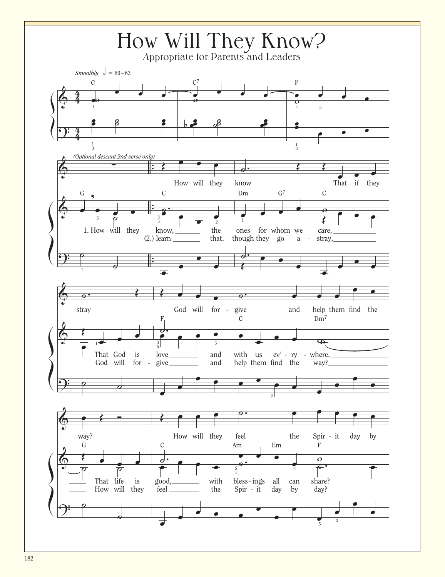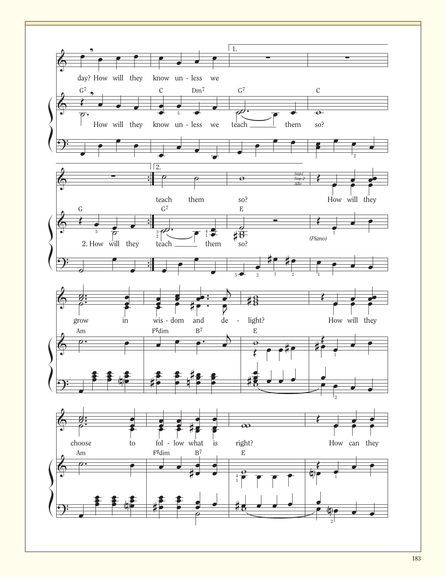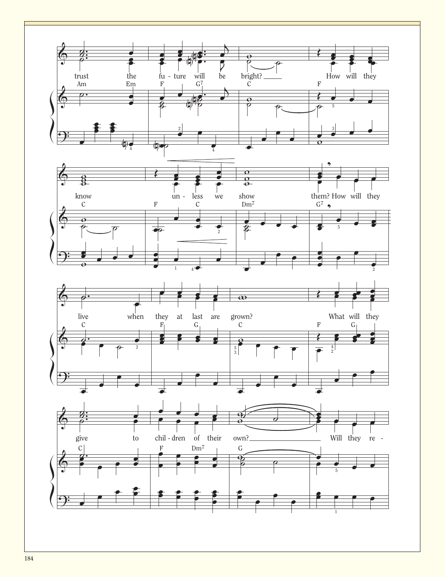